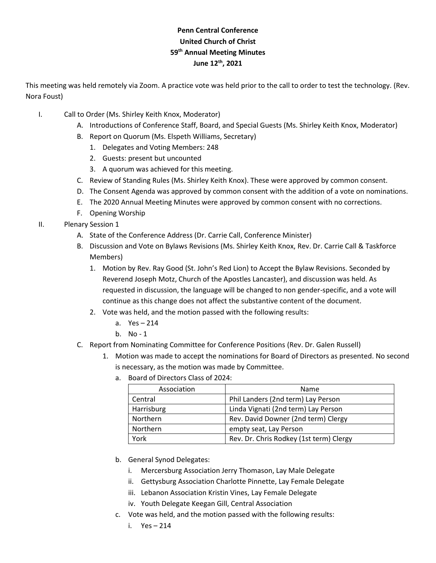## **Penn Central Conference United Church of Christ 59 th Annual Meeting Minutes June 12th, 2021**

This meeting was held remotely via Zoom. A practice vote was held prior to the call to order to test the technology. (Rev. Nora Foust)

- I. Call to Order (Ms. Shirley Keith Knox, Moderator)
	- A. Introductions of Conference Staff, Board, and Special Guests (Ms. Shirley Keith Knox, Moderator)
	- B. Report on Quorum (Ms. Elspeth Williams, Secretary)
		- 1. Delegates and Voting Members: 248
		- 2. Guests: present but uncounted
		- 3. A quorum was achieved for this meeting.
	- C. Review of Standing Rules (Ms. Shirley Keith Knox). These were approved by common consent.
	- D. The Consent Agenda was approved by common consent with the addition of a vote on nominations.
	- E. The 2020 Annual Meeting Minutes were approved by common consent with no corrections.
	- F. Opening Worship
- II. Plenary Session 1
	- A. State of the Conference Address (Dr. Carrie Call, Conference Minister)
	- B. Discussion and Vote on Bylaws Revisions (Ms. Shirley Keith Knox, Rev. Dr. Carrie Call & Taskforce Members)
		- 1. Motion by Rev. Ray Good (St. John's Red Lion) to Accept the Bylaw Revisions. Seconded by Reverend Joseph Motz, Church of the Apostles Lancaster), and discussion was held. As requested in discussion, the language will be changed to non gender-specific, and a vote will continue as this change does not affect the substantive content of the document.
		- 2. Vote was held, and the motion passed with the following results:
			- a. Yes 214
			- b. No 1
	- C. Report from Nominating Committee for Conference Positions (Rev. Dr. Galen Russell)
		- 1. Motion was made to accept the nominations for Board of Directors as presented. No second is necessary, as the motion was made by Committee.
			- a. Board of Directors Class of 2024:

| Association | Name                                    |
|-------------|-----------------------------------------|
| Central     | Phil Landers (2nd term) Lay Person      |
| Harrisburg  | Linda Vignati (2nd term) Lay Person     |
| Northern    | Rev. David Downer (2nd term) Clergy     |
| Northern    | empty seat, Lay Person                  |
| York        | Rev. Dr. Chris Rodkey (1st term) Clergy |

- b. General Synod Delegates:
	- i. Mercersburg Association Jerry Thomason, Lay Male Delegate
	- ii. Gettysburg Association Charlotte Pinnette, Lay Female Delegate
	- iii. Lebanon Association Kristin Vines, Lay Female Delegate
	- iv. Youth Delegate Keegan Gill, Central Association
- c. Vote was held, and the motion passed with the following results:
	- i. Yes 214